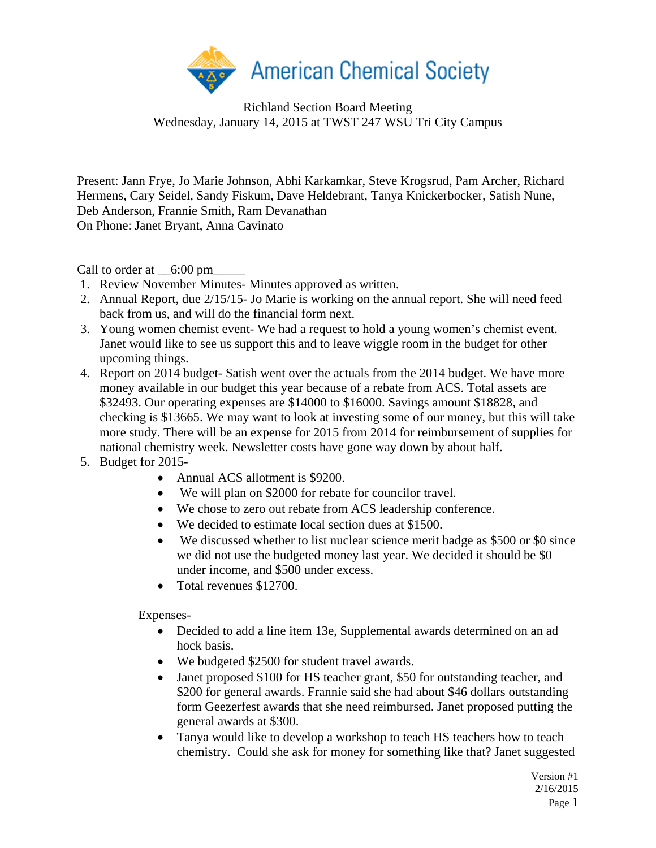

Richland Section Board Meeting Wednesday, January 14, 2015 at TWST 247 WSU Tri City Campus

Present: Jann Frye, Jo Marie Johnson, Abhi Karkamkar, Steve Krogsrud, Pam Archer, Richard Hermens, Cary Seidel, Sandy Fiskum, Dave Heldebrant, Tanya Knickerbocker, Satish Nune, Deb Anderson, Frannie Smith, Ram Devanathan On Phone: Janet Bryant, Anna Cavinato

Call to order at  $\_6:00 \text{ pm}$ 

- 1. Review November Minutes- Minutes approved as written.
- 2. Annual Report, due 2/15/15- Jo Marie is working on the annual report. She will need feed back from us, and will do the financial form next.
- 3. Young women chemist event- We had a request to hold a young women's chemist event. Janet would like to see us support this and to leave wiggle room in the budget for other upcoming things.
- 4. Report on 2014 budget- Satish went over the actuals from the 2014 budget. We have more money available in our budget this year because of a rebate from ACS. Total assets are \$32493. Our operating expenses are \$14000 to \$16000. Savings amount \$18828, and checking is \$13665. We may want to look at investing some of our money, but this will take more study. There will be an expense for 2015 from 2014 for reimbursement of supplies for national chemistry week. Newsletter costs have gone way down by about half.
- 5. Budget for 2015-
	- Annual ACS allotment is \$9200.
	- We will plan on \$2000 for rebate for councilor travel.
	- We chose to zero out rebate from ACS leadership conference.
	- We decided to estimate local section dues at \$1500.
	- We discussed whether to list nuclear science merit badge as \$500 or \$0 since we did not use the budgeted money last year. We decided it should be \$0 under income, and \$500 under excess.
	- Total revenues \$12700.

Expenses-

- Decided to add a line item 13e, Supplemental awards determined on an ad hock basis.
- We budgeted \$2500 for student travel awards.
- Janet proposed \$100 for HS teacher grant, \$50 for outstanding teacher, and \$200 for general awards. Frannie said she had about \$46 dollars outstanding form Geezerfest awards that she need reimbursed. Janet proposed putting the general awards at \$300.
- Tanya would like to develop a workshop to teach HS teachers how to teach chemistry. Could she ask for money for something like that? Janet suggested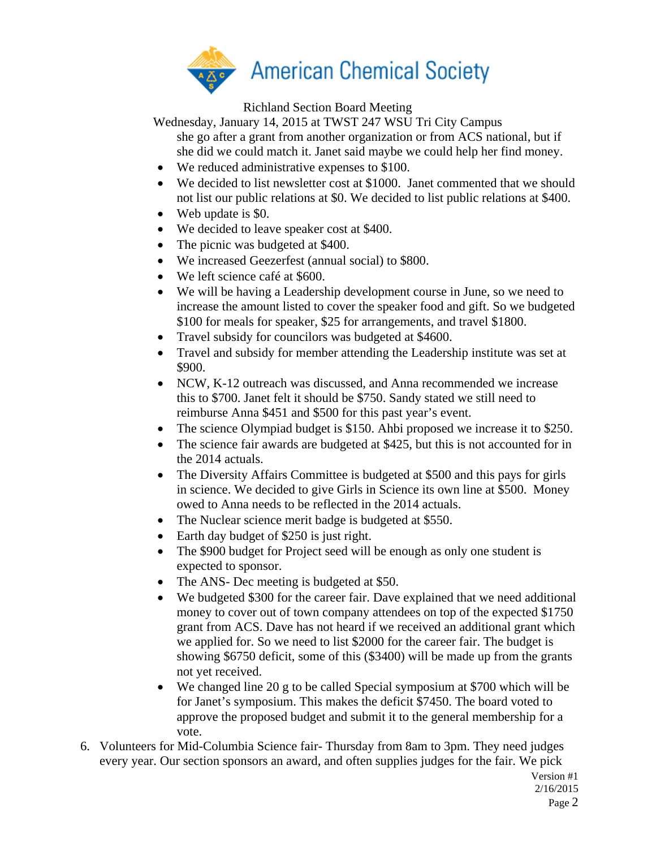

Richland Section Board Meeting

Wednesday, January 14, 2015 at TWST 247 WSU Tri City Campus

- she go after a grant from another organization or from ACS national, but if she did we could match it. Janet said maybe we could help her find money.
- We reduced administrative expenses to \$100.
- We decided to list newsletter cost at \$1000. Janet commented that we should not list our public relations at \$0. We decided to list public relations at \$400.
- Web update is \$0.
- We decided to leave speaker cost at \$400.
- The picnic was budgeted at \$400.
- We increased Geezerfest (annual social) to \$800.
- We left science café at \$600.
- We will be having a Leadership development course in June, so we need to increase the amount listed to cover the speaker food and gift. So we budgeted \$100 for meals for speaker, \$25 for arrangements, and travel \$1800.
- Travel subsidy for councilors was budgeted at \$4600.
- Travel and subsidy for member attending the Leadership institute was set at \$900.
- NCW, K-12 outreach was discussed, and Anna recommended we increase this to \$700. Janet felt it should be \$750. Sandy stated we still need to reimburse Anna \$451 and \$500 for this past year's event.
- The science Olympiad budget is \$150. Ahbi proposed we increase it to \$250.
- The science fair awards are budgeted at \$425, but this is not accounted for in the 2014 actuals.
- The Diversity Affairs Committee is budgeted at \$500 and this pays for girls in science. We decided to give Girls in Science its own line at \$500. Money owed to Anna needs to be reflected in the 2014 actuals.
- The Nuclear science merit badge is budgeted at \$550.
- Earth day budget of \$250 is just right.
- The \$900 budget for Project seed will be enough as only one student is expected to sponsor.
- The ANS- Dec meeting is budgeted at \$50.
- We budgeted \$300 for the career fair. Dave explained that we need additional money to cover out of town company attendees on top of the expected \$1750 grant from ACS. Dave has not heard if we received an additional grant which we applied for. So we need to list \$2000 for the career fair. The budget is showing \$6750 deficit, some of this (\$3400) will be made up from the grants not yet received.
- We changed line 20 g to be called Special symposium at \$700 which will be for Janet's symposium. This makes the deficit \$7450. The board voted to approve the proposed budget and submit it to the general membership for a vote.
- 6. Volunteers for Mid-Columbia Science fair- Thursday from 8am to 3pm. They need judges every year. Our section sponsors an award, and often supplies judges for the fair. We pick

Version #1